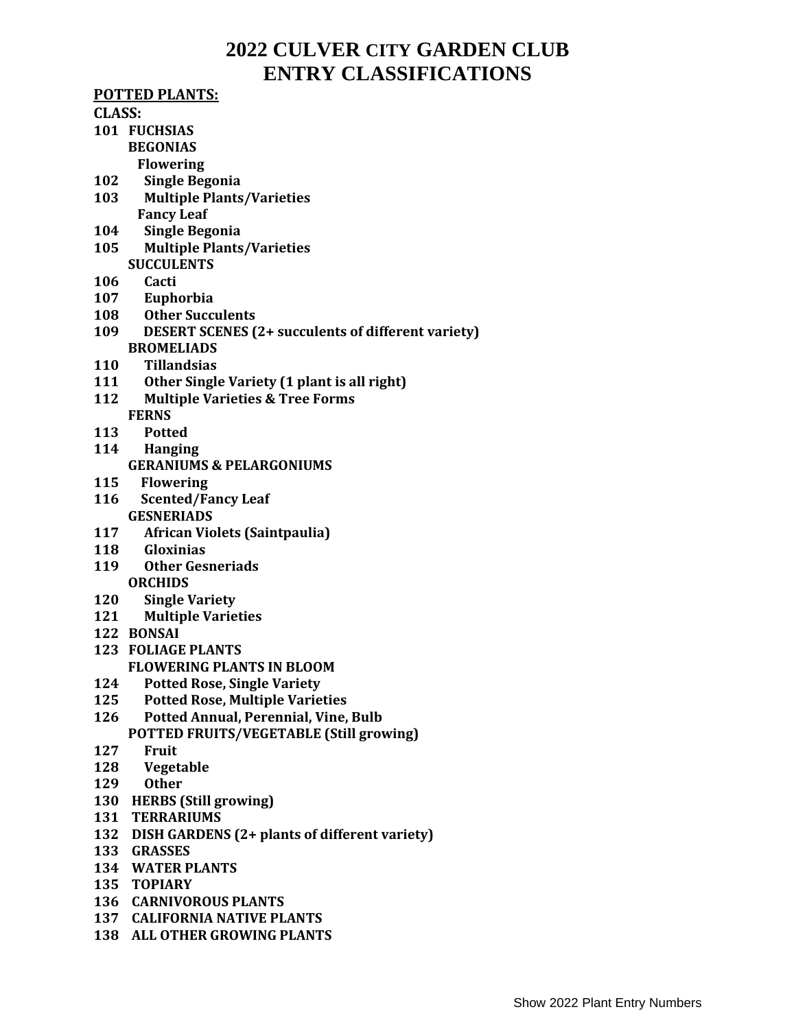# **2022 CULVER CITY GARDEN CLUB ENTRY CLASSIFICATIONS**

#### **POTTED PLANTS:**

#### **CLASS:**

- **101 FUCHSIAS BEGONIAS**
	- **Flowering**
- **102 Single Begonia**
- **103 Multiple Plants/Varieties Fancy Leaf**
- **104 Single Begonia**
- **105 Multiple Plants/Varieties SUCCULENTS**
- **106 Cacti**
- **107 Euphorbia**
- **108 Other Succulents**
- **109 DESERT SCENES (2+ succulents of different variety) BROMELIADS**
- **110 Tillandsias**
- **111 Other Single Variety (1 plant is all right)**
- **112 Multiple Varieties & Tree Forms**
	- **FERNS**
- **113 Potted**
- **114 Hanging**
	- **GERANIUMS & PELARGONIUMS**
- **115 Flowering**
- **116 Scented/Fancy Leaf GESNERIADS**
- **117 African Violets (Saintpaulia)**
- **118 Gloxinias**
- **119 Other Gesneriads ORCHIDS**
- **120 Single Variety**
- **121 Multiple Varieties**
- **122 BONSAI**
- **123 FOLIAGE PLANTS**
	- **FLOWERING PLANTS IN BLOOM**
- **124 Potted Rose, Single Variety**
- **125 Potted Rose, Multiple Varieties**
- **126 Potted Annual, Perennial, Vine, Bulb POTTED FRUITS/VEGETABLE (Still growing)**
- **127 Fruit**
- **128 Vegetable**
- **129 Other**
- **130 HERBS (Still growing)**
- **131 TERRARIUMS**
- **132 DISH GARDENS (2+ plants of different variety)**
- **133 GRASSES**
- **134 WATER PLANTS**
- **135 TOPIARY**
- **136 CARNIVOROUS PLANTS**
- **137 CALIFORNIA NATIVE PLANTS**
- **138 ALL OTHER GROWING PLANTS**